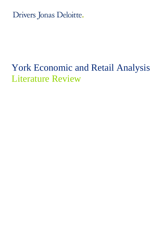Drivers Jonas Deloitte.

## York Economic and Retail Analysis Literature Review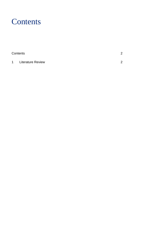## <span id="page-1-0"></span>**Contents**

|          | Contents                 | ⌒ |
|----------|--------------------------|---|
| $\sim$ 1 | <b>Literature Review</b> | ⌒ |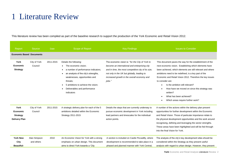## 1 Literature Review

This literature review has been compiled as part of the baseline research to support the production of the York Economic and Retail Vision 2012.

<span id="page-3-0"></span>

| Report                                                      | Source                     | <b>Date</b> | Scope of Report                                                                                                                                                                                                                                                  | <b>Key Findings</b>                                                                                                                                                                                                                                              | <b>Issues to Consider</b>                                                                                                                                                                                                                                                                                                                                                                                                                                                                |
|-------------------------------------------------------------|----------------------------|-------------|------------------------------------------------------------------------------------------------------------------------------------------------------------------------------------------------------------------------------------------------------------------|------------------------------------------------------------------------------------------------------------------------------------------------------------------------------------------------------------------------------------------------------------------|------------------------------------------------------------------------------------------------------------------------------------------------------------------------------------------------------------------------------------------------------------------------------------------------------------------------------------------------------------------------------------------------------------------------------------------------------------------------------------------|
| <b>Economic Based Documents</b>                             |                            |             |                                                                                                                                                                                                                                                                  |                                                                                                                                                                                                                                                                  |                                                                                                                                                                                                                                                                                                                                                                                                                                                                                          |
| York<br>Economic<br><b>Strategy</b>                         | City of York<br>Council    | 2011-2015   | Details the following:<br>• The economic vision;<br>a number of performance indicators;<br>an analysis of the city's strengths,<br>weaknesses, opportunities and<br>threats;<br>5 ambitions to achieve the vision;<br>Deliverables and performance<br>indicators | The economic vision is: "for the City of York to<br>become an international and enterprising city<br>and in time, the most competitive city of its size,<br>not only in the UK but globally, leading to<br>increased growth in the overall economy and<br>jobs." | This document paves the way for the establishment of the<br>next economic vision. Establishing which elements have<br>been achieved, which elements are still relevant and where<br>ambitions need to be redefined, is a key part of the<br>Economic and Retail Vision 2012. Therefore the key issues<br>to consider are:<br>Is the ambition still relevant?<br>How have we moved on since this strategy was<br>written?<br>What has been achieved?<br>Which areas require further work? |
| York<br>Economic<br><b>Strategy</b><br><b>Delivery Plan</b> | City of York<br>Council    | 2011-2015   | A strategic delivery plan for each of the 5<br>ambitions detailed within the Economic<br>Strategy 2011-2015                                                                                                                                                      | Details the steps that are currently underway to<br>pursue economic development in York including<br>lead partners and timescales for the individual<br>action points.                                                                                           | A number of the actions within the delivery plan present<br>opportunities for further development within the Economic<br>and Retail Vision. Those of particular importance relate to<br>the physical development opportunities and the work around<br>recognising, defining and leveraging the sector strengths.<br>These areas have been highlighted and will be fed through<br>into the final Vision for York.                                                                         |
| <b>York New</b><br>City<br><b>Beautiful-</b>                | Alan Simpson<br>and others | 2010        | An Economic Vision for York with a strong<br>emphasis on urban design. This document<br>aims to direct York towards a 'City                                                                                                                                      | A section is included on Castle Piccadilly, where<br>development is recommended to take place in a<br>phased and planned manner with York Central,                                                                                                               | The analysis of the city's key development sites should be<br>considered within the Strategy as they present useful<br>analysis with regard to urban design. However, they present                                                                                                                                                                                                                                                                                                       |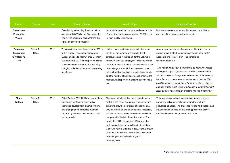| Report                                                | Source               | <b>Date</b> | Scope of Report                                                                                                                                                                                                                                                                      | <b>Key Findings</b>                                                                                                                                                                                                                                                                                                                                                                                                                                                                                                                                                           | <b>Issues to Consider</b>                                                                                                                                                                                                                                                                                                                                                                                                                                                                                                                                                                                                              |
|-------------------------------------------------------|----------------------|-------------|--------------------------------------------------------------------------------------------------------------------------------------------------------------------------------------------------------------------------------------------------------------------------------------|-------------------------------------------------------------------------------------------------------------------------------------------------------------------------------------------------------------------------------------------------------------------------------------------------------------------------------------------------------------------------------------------------------------------------------------------------------------------------------------------------------------------------------------------------------------------------------|----------------------------------------------------------------------------------------------------------------------------------------------------------------------------------------------------------------------------------------------------------------------------------------------------------------------------------------------------------------------------------------------------------------------------------------------------------------------------------------------------------------------------------------------------------------------------------------------------------------------------------------|
| <b>Towards an</b><br>Economic<br><b>Vision</b>        |                      |             | Beautiful' by enhancing the city's natural<br>assets e.g City Walls, the Rivers and the<br>Parks. The document also analyses the<br>city's key development sites.                                                                                                                    | but that the priority must be to address the City<br>Centre first and to provide around 25,000 sq m<br>of high quality retail space.                                                                                                                                                                                                                                                                                                                                                                                                                                          | little information on sector employment opportunities or<br>analysis of the barriers to development.                                                                                                                                                                                                                                                                                                                                                                                                                                                                                                                                   |
| European<br>Comparator<br><b>City Report:</b><br>York | Centre for<br>Cities | 2012        | This report compares the economy of York<br>with a number of selected comparator<br>European cities to inform York's Economic<br>Strategy 2011-2015. The report highlights<br>York's key economic strengths including<br>its highly skilled workforce and its growing<br>population. | York's private sector performs well. It is in the<br>top 10 for the number of firms with 1-250<br>employees and in the top 15 for the volume of<br>firms with over 250 employees. This shows that<br>the market environment is competitive with a mix<br>of both large and small firms. However, York<br>suffers from low levels of productivity per capita<br>and the number of new businesses entering the<br>market as a proportion of existing businesses is<br>low.                                                                                                      | A number of the key conclusions from this report can be<br>carried forward into the economic evidence base for the<br>Economic and Retail Vision. The concluding<br>recommendation is:<br>"The challenge for York is to improve its economy without<br>eroding the city as a place to live. It needs to be realistic<br>about its ability to change the fundamentals of the economy<br>but a focus on private sector involvement is the key. This<br>could be achieved by aiming to facilitate business start-ups<br>and self-employment, which would ease the unemployment<br>issue and provide York with greater business dynamism." |
| <b>Cities</b><br><b>Outlook</b>                       | Centre for<br>Cities | 2012        | Cities Outlook 2012 highlights some of the<br>challenges confronting cities today:<br>economic development, unemployment<br>and changing demographics but most<br>importantly the need to stimulate private<br>sector growth.                                                        | The report stipulates that the economic outlook<br>for 2012 has never been more challenging and<br>achieving growth in our great cities is the only<br>way for the UK to avoid a double dip recession,<br>re-balance the economy and enable the UK to<br>compete effectively in the global market. The<br>priority for 2012 is to get the UK back on the<br>path to private sector growth and job creation.<br>Cities will have a vital role to play. York is shown<br>to be resilient with low Job Seekers Allowance<br>rate change and low levels of youth<br>unemployment. | York has performed well over the last decade across a<br>number of indicators, including unemployment and<br>population changes. The challenge for the next decade and<br>beyond is how to build on this strong position to deliver<br>sustainable economic growth for the region.                                                                                                                                                                                                                                                                                                                                                     |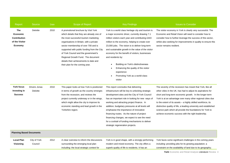| Report                                                                     | Source                    | <b>Date</b> | Scope of Report                                                                                                                                                                                                                                                                                                                                                                                                           | <b>Key Findings</b>                                                                                                                                                                                                                                                                                                                                                                                                                                                                                                                   | <b>Issues to Consider</b>                                                                                                                                                                                                                                                                                                                                                                                                                                                                                           |
|----------------------------------------------------------------------------|---------------------------|-------------|---------------------------------------------------------------------------------------------------------------------------------------------------------------------------------------------------------------------------------------------------------------------------------------------------------------------------------------------------------------------------------------------------------------------------|---------------------------------------------------------------------------------------------------------------------------------------------------------------------------------------------------------------------------------------------------------------------------------------------------------------------------------------------------------------------------------------------------------------------------------------------------------------------------------------------------------------------------------------|---------------------------------------------------------------------------------------------------------------------------------------------------------------------------------------------------------------------------------------------------------------------------------------------------------------------------------------------------------------------------------------------------------------------------------------------------------------------------------------------------------------------|
| <b>The</b><br>Economic<br>Contribution<br>of the Visitor<br><b>Economy</b> | Deloitte                  | 2010        | A promotional brochure by Visit York<br>which details that they are already one of<br>the most successful tourism marketing<br>organisations in Britain, with a private<br>sector membership of over 700 and is<br>supported with public funding from the City<br>of York Council and the government's<br>Regional Growth Fund. The document<br>details their achievements to date and<br>their plan for the coming year. | York is a world class heritage city and tourism is<br>a major economic driver, currently drawing 7.1<br>million visitors each year and contributing £443<br>million to the economy, helping to create over<br>23,000 jobs. The vision is to deliver long-term<br>and sustainable growth in the value of the visitor<br>economy for the benefit of visitors, businesses<br>and residents by:<br>Building on York's distinctiveness<br>Enhancing the quality of the visitor<br>experience<br>Promoting York as a world-class<br>visitor | The visitor economy in York is clearly very successful. The<br>Economic and Retail Vision will need to consider how to<br>consider how to further leverage the success of this sector,<br>whilst also seeking for improvements in quality to ensure this<br>sector remains resilient.                                                                                                                                                                                                                               |
| <b>York focus</b><br>Investing in<br><b>Success</b>                        | Drivers Jonas<br>Deloitte | 2010        | This paper looks at how York is positioned<br>in terms of growth as the country emerges<br>from the recession, and reviews the<br>project currently underway or in the wings,<br>which might allow the city to improve its<br>economic standing and lead growth in the<br>Yorkshire region.                                                                                                                               | This report concludes that delivering<br>infrastructure will be key to unlocking strategic<br>development sites and the City of York Council<br>has an important role in looking for new ways of<br>working and attracting project finance. In<br>addition, budgetary pressures at all levels will<br>emphasise the importance of innovative<br>financing routes. As the nature of project<br>financing changes, we expect to see the need<br>for a cocktail of funding mechanisms to deliver<br>strategic regeneration projects.     | The severity of the recession has meant that York, like all<br>other cities in the UK, has had to adjust its aspirations for<br>short and long-term economic growth. In the longer-term<br>York is at an advantage over many other regional cities due<br>to the extent of its assets $-$ a highly skilled workforce, its<br>distinctive quality of life, a leading university and established<br>science park which all provide the foundations for York to<br>achieve economic success with the right leadership. |
| <b>Planning Based Documents</b>                                            |                           |             |                                                                                                                                                                                                                                                                                                                                                                                                                           |                                                                                                                                                                                                                                                                                                                                                                                                                                                                                                                                       |                                                                                                                                                                                                                                                                                                                                                                                                                                                                                                                     |
| <b>Local Plan</b><br>Visioning                                             | City of York<br>Council   | 2012        | A clear overview to inform the discussions<br>surrounding the emerging local plan                                                                                                                                                                                                                                                                                                                                         | York is in good shape, with a strongly performing<br>modern and mixed economy. The city offers a                                                                                                                                                                                                                                                                                                                                                                                                                                      | York faces some significant challenges in the coming years<br>including: providing jobs for its growing population; a                                                                                                                                                                                                                                                                                                                                                                                               |

superb quality of life to residents. It has an

including: the local strategic context for

**York** Economic and Retail Analysis Literature Review 4

constraint on the availability of land due to its geography;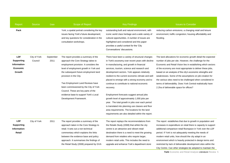| Report                                                    | Source                  | Date              | Scope of Report                                                                                                                                                                                                                                                                                                                                                                                                           | <b>Key Findings</b>                                                                                                                                                                                                                                                                                                                                                                                                                                                                                                                                                                                                                                                                                                          | <b>Issues to Consider</b>                                                                                                                                                                                                                                                                                                                                                                                                                                                                                                                                |
|-----------------------------------------------------------|-------------------------|-------------------|---------------------------------------------------------------------------------------------------------------------------------------------------------------------------------------------------------------------------------------------------------------------------------------------------------------------------------------------------------------------------------------------------------------------------|------------------------------------------------------------------------------------------------------------------------------------------------------------------------------------------------------------------------------------------------------------------------------------------------------------------------------------------------------------------------------------------------------------------------------------------------------------------------------------------------------------------------------------------------------------------------------------------------------------------------------------------------------------------------------------------------------------------------------|----------------------------------------------------------------------------------------------------------------------------------------------------------------------------------------------------------------------------------------------------------------------------------------------------------------------------------------------------------------------------------------------------------------------------------------------------------------------------------------------------------------------------------------------------------|
| Pack                                                      |                         |                   | York; a spatial portrait considering the key<br>issues facing York's future development;<br>and key questions for consideration in the<br>consultation workshops.                                                                                                                                                                                                                                                         | outstanding built and natural environment, with<br>iconic world class heritage and a wide variety of<br>cultural opportunities. A number of issues are<br>highlighted and considered and this paper<br>provides a useful context for the 'City<br>Conversations' discussions.                                                                                                                                                                                                                                                                                                                                                                                                                                                | reducing carbon emissions; a changing retail and leisure<br>environment; traffic congestion; housing affordability and<br>flooding.                                                                                                                                                                                                                                                                                                                                                                                                                      |
| LDF<br>Supporting<br>Information-<br>Economic<br>Growth   | City of York<br>Council | September<br>2011 | The report provides a summary of the<br>approach the Core Strategy takes to<br>employment provision. It considers the<br>level of employment growth in York and<br>the subsequent future employment land<br>provision in the City.<br>Two Employment Land Reviews have<br>been commissioned by the City of York<br>Council. These are key parts of the<br>evidence base to support York's Local<br>Development Framework. | There have been a variety of structural changes<br>in York's economy over recent years with decline<br>in manufacturing, and growth in financial<br>services, tourism, science and research and<br>development sectors. York appears relatively<br>resilient to the current economic climate and well<br>placed to emerge with a strong economy and to<br>continue to contribute to national economic<br>recovery.<br>Employment forecasts suggest annual jobs<br>growth level of approximately 1,000 jobs per<br>year. The total growth in jobs over each period<br>is translated into planning use classes and floor<br>area requirements. The locations for the land<br>requirements are also detailed within the report. | The land allocations for economic growth detail the expected<br>number of jobs per site. However, the challenge for the<br>Economic and Retail Vision lies in establishing which sectors<br>of the economy are most appropriate to deliver these jobs,<br>based on an analysis of the city's economic strengths and<br>weaknesses. Some of the assumptions on job creation for<br>the various sites need to be challenged when considered in<br>terms of deliverability. Does York Central realistically have<br>2.2ha of deliverable space for offices? |
| <b>LDF</b><br><b>Supporting</b><br>Information-<br>Retail | City of York            | 2011              | The report provides a summary of the<br>approach taken in the Core Strategy to<br>retail. It sets out a non technical<br>commentary which explains the links<br>between the evidence base and policy<br>approach. It summarises the findings of<br>the Retail Study (2008) prepared by GVA                                                                                                                                | The report replays the recommendations from<br>the Retails Study (2008) that whilst the city<br>centre is an attractive and vibrant retail<br>destination there is a need to meet the growing<br>demand from retailers who require larger,<br>modern retail units. This includes the need to<br>upgrade and enhance York's department store                                                                                                                                                                                                                                                                                                                                                                                  | The report establishes that due to growth in population and<br>increases in expenditure on retail there is capacity to support<br>additional comparison retail floorspace in York over the LDF<br>period. If York is not adequately meeting the needs of<br>modern retail units, how should the city adapt in an<br>environment which is heavily protected in design terms and<br>restricted by lack of deliverable development sites within the<br>City Centre. Can other strategies be adopted to maintain the                                         |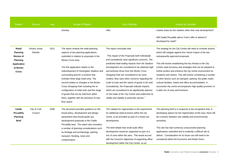| Report                                                                                               | Source                    | <b>Date</b> | Scope of Report                                                                                                                                                                                                                                                                                                                                                                                                                                                                                                                                             | <b>Key Findings</b>                                                                                                                                                                                                                                                                                                                                                                                                                                                                                                                                                                                                                                | <b>Issues to Consider</b>                                                                                                                                                                                                                                                                                                                                                                                                                                                                                                                                                                                                                                        |
|------------------------------------------------------------------------------------------------------|---------------------------|-------------|-------------------------------------------------------------------------------------------------------------------------------------------------------------------------------------------------------------------------------------------------------------------------------------------------------------------------------------------------------------------------------------------------------------------------------------------------------------------------------------------------------------------------------------------------------------|----------------------------------------------------------------------------------------------------------------------------------------------------------------------------------------------------------------------------------------------------------------------------------------------------------------------------------------------------------------------------------------------------------------------------------------------------------------------------------------------------------------------------------------------------------------------------------------------------------------------------------------------------|------------------------------------------------------------------------------------------------------------------------------------------------------------------------------------------------------------------------------------------------------------------------------------------------------------------------------------------------------------------------------------------------------------------------------------------------------------------------------------------------------------------------------------------------------------------------------------------------------------------------------------------------------------------|
|                                                                                                      |                           |             | Grimley.                                                                                                                                                                                                                                                                                                                                                                                                                                                                                                                                                    | offer.                                                                                                                                                                                                                                                                                                                                                                                                                                                                                                                                                                                                                                             | market share for the retailers other than new development?                                                                                                                                                                                                                                                                                                                                                                                                                                                                                                                                                                                                       |
|                                                                                                      |                           |             |                                                                                                                                                                                                                                                                                                                                                                                                                                                                                                                                                             |                                                                                                                                                                                                                                                                                                                                                                                                                                                                                                                                                                                                                                                    | Will Castle Piccadilly add to York's offer or detract if<br>developed for retail?                                                                                                                                                                                                                                                                                                                                                                                                                                                                                                                                                                                |
| Retail<br><b>Planning</b><br>Review of<br>Planning<br><b>Application</b><br>at Monks<br><b>Cross</b> | Drivers Jonas<br>Deloitte | 2011        | The report reviews the retail planning<br>aspects of two planning applications,<br>submitted in relation to proposals in the<br>Monks Cross area.<br>The first application relates to the<br>redevelopment of Huntingdon Stadium and<br>surrounding land for a scheme that<br>includes three large retail units. The<br>second relates to changes to the Monks<br>Cross Shopping Park including the re-<br>configuration of retail units and the range<br>of goods that can be sold from within<br>them, together with the provision of new<br>floor space. | The report concludes that:<br>"The impact of the Proposals both individually<br>and cumulatively raise significant concerns. The<br>predicted retail trading impacts from the Stadium<br>Development are considered to be relatively high<br>and whereas those from the Monks Cross<br>Shopping Park are considered to be more<br>modest, they raise other concerns regarding the<br>scale of units and the nature of goods to be sold.<br>Cumulatively, the Proposals indicate impacts<br>which are considered to be significantly adverse<br>on the trade of the City Centre and undermine its<br>vitality and viability in particular sectors." | The strategy for the City Centre will need to consider actions<br>which will mitigate against the t future impact of the two<br>subsequently approved proposals.<br>This will involve establishing the key threats to the City<br>Centre retail economy and strategies that can be adopted to<br>further protect and enhance the city centre environment for<br>residents and visitors. This will involve considering a number<br>of other factors such as transport, parking, the public realm,<br>cultural facilities, hotels and office accommodation. A<br>successful city centre encompasses high quality provision of<br>a wide mix of uses and functions. |
| Castle<br><b>Piccadilly</b><br><b>Planning</b><br><b>Brief</b>                                       | City of York<br>Council   | 2006        | The document provides guidance on the<br>broad policy, development and design<br>parameters that should guide any<br>development proposals in the Castle<br>Piccadilly area. The report also considers<br>a number of planning considerations such<br>as heritage and archaeology, parking,<br>transport, flooding, noise and<br>contamination.                                                                                                                                                                                                             | The catalyst for regeneration is the requirement<br>for additional retail provision within the city<br>centre, to be provided as part of a mixed use<br>development.<br>The brief details that small scale office<br>development would be supported as part of a<br>mix of uses within the area. This would accord<br>with the Council's objectives of supporting office<br>development within the City Centre, as an                                                                                                                                                                                                                              | The planning brief is in response to the recognition that, in<br>developing options for the regeneration of the area, there will<br>be a tension between site viability and environmental<br>sensitivity.<br>This site has had numerous unsuccessful planning<br>applications submitted and is evidently a difficult site to<br>deliver. Consideration for its future use will need to be<br>considered within the Economic and Retail Vision.                                                                                                                                                                                                                   |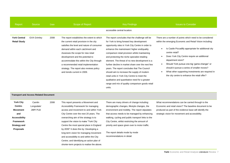| Report                                     | Source             | <b>Date</b> | Scope of Report                                                                                                                                                                                                                                                                                                                                                                                                 | <b>Key Findings</b><br>accessible central location.                                                                                                                                                                                                                                                                                                                                                                                                                                                                                                                                                                                                                       | <b>Issues to Consider</b>                                                                                                                                                                                                                                                                                                                                                                                                                                                                                      |
|--------------------------------------------|--------------------|-------------|-----------------------------------------------------------------------------------------------------------------------------------------------------------------------------------------------------------------------------------------------------------------------------------------------------------------------------------------------------------------------------------------------------------------|---------------------------------------------------------------------------------------------------------------------------------------------------------------------------------------------------------------------------------------------------------------------------------------------------------------------------------------------------------------------------------------------------------------------------------------------------------------------------------------------------------------------------------------------------------------------------------------------------------------------------------------------------------------------------|----------------------------------------------------------------------------------------------------------------------------------------------------------------------------------------------------------------------------------------------------------------------------------------------------------------------------------------------------------------------------------------------------------------------------------------------------------------------------------------------------------------|
| <b>York Central</b><br><b>Retail Study</b> | <b>GVA Grimley</b> | 2008        | The report establishes the extent to which<br>the current retail provision in the city<br>satisfies the level and nature of consumer<br>demand within each catchment and<br>Assesses the scope for new retail<br>development and the potential to<br>accommodate this within the City through<br>a recommended retail implementation<br>strategy. The report also reviews policy<br>and trends current in 2009. | The report concludes that the challenge will be<br>for York to bring forward key development<br>opportunity sites in York City Centre in order to<br>enhance the mainstream/ higher end/quality<br>comparison retail provision whilst maintaining<br>and protecting the niche specialist retailing<br>element. The threat of no new development is a<br>further decline in market share over the next few<br>years. The report concludes that The Council<br>should aim to increase the supply of modern<br>retail units in York City Centre to meet the<br>qualitative and quantitative need for a greater<br>range and mix of quality comparison goods retail<br>units. | There are a number of points which need to be considered<br>within the emerging Economic and Retail Vision including:<br>Is Castle Piccadilly appropriate for additional city<br>centre retail?<br>Does York City Centre require an additional<br>$\bullet$<br>department store?<br>Should York pursue one big 'game-changer' or<br>$\bullet$<br>should it pursue a series of smaller moves?<br>What other supporting investments are required in<br>$\bullet$<br>the city centre to enhance the retail offer? |

## **Transport and Access Related Document**

| <b>York City</b>     | Camlin     | 2008 | This report presents a Movement and         | There are many drivers of change including:        | What recommendations can be carried through to the      |
|----------------------|------------|------|---------------------------------------------|----------------------------------------------------|---------------------------------------------------------|
| Centre-              | Longsdale/ |      | Accessibility Framework for managing        | demographic changes, lifestyle changes, the        | Economic and retail vision? The baseline document to be |
| <b>Movement</b>      | JMP/PLB    |      | access and movement to and within York      | environment and mobility. The report stipulates    | produced as part of the evidence base will identify the |
| and                  |            |      | City Centre over the next 20 years. The     | that access needs to be managed by enhancing       | strategic vision for movement and accessibility.        |
| <b>Accessibility</b> |            |      | overarching aim of the strategy is to       | walking, cycling and public transport links to the |                                                         |
| <b>Framework</b>     |            |      | support the vision to make "York City"      | City Centre, whilst restricting the amount of      |                                                         |
| <b>Strategy and</b>  |            |      | Centre the most special place in England    | priority and space given over to motor traffic.    |                                                         |
| <b>Proposals</b>     |            |      | by 2030" It does this by: Developing a      |                                                    |                                                         |
|                      |            |      | long-term vision for managing movement      | The report details mode by mode                    |                                                         |
|                      |            |      | and accessibility to and within the City    | recommendations in detail.                         |                                                         |
|                      |            |      | Centre; and Identifying an action plan of   |                                                    |                                                         |
|                      |            |      | shorter-term projects to realise the above. |                                                    |                                                         |
|                      |            |      |                                             |                                                    |                                                         |